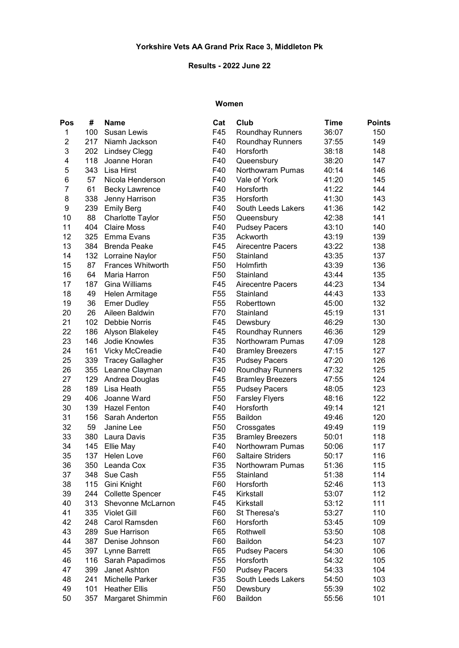#### Results - 2022 June 22

#### Women

| Pos            | #   | <b>Name</b>              | Cat             | Club                     | <b>Time</b> | <b>Points</b> |
|----------------|-----|--------------------------|-----------------|--------------------------|-------------|---------------|
| 1              | 100 | <b>Susan Lewis</b>       | F45             | <b>Roundhay Runners</b>  | 36:07       | 150           |
| $\overline{c}$ | 217 | Niamh Jackson            | F40             | <b>Roundhay Runners</b>  | 37:55       | 149           |
| 3              | 202 | <b>Lindsey Clegg</b>     | F40             | Horsforth<br>38:18       |             | 148           |
| 4              | 118 | Joanne Horan             | F40             | Queensbury<br>38:20      |             | 147           |
| 5              | 343 | Lisa Hirst               | F40             | Northowram Pumas         | 40:14       | 146           |
| 6              | 57  | Nicola Henderson         | F40             | Vale of York             | 41:20       | 145           |
| 7              | 61  | <b>Becky Lawrence</b>    | F40             | Horsforth                | 41:22       | 144           |
| 8              | 338 | Jenny Harrison           | F35             | Horsforth                | 41:30       | 143           |
| 9              | 239 | <b>Emily Berg</b>        | F40             | South Leeds Lakers       | 41:36       | 142           |
| 10             | 88  | Charlotte Taylor         | F <sub>50</sub> | Queensbury               | 42:38       | 141           |
| 11             | 404 | <b>Claire Moss</b>       | F40             | <b>Pudsey Pacers</b>     | 43:10       | 140           |
| 12             | 325 | Emma Evans               | F35             | Ackworth                 | 43:19       | 139           |
| 13             | 384 | <b>Brenda Peake</b>      | F45             | <b>Airecentre Pacers</b> | 43:22       | 138           |
| 14             | 132 | Lorraine Naylor          | F <sub>50</sub> | Stainland                | 43:35       | 137           |
| 15             | 87  | <b>Frances Whitworth</b> | F <sub>50</sub> | Holmfirth                | 43:39       | 136           |
| 16             | 64  | Maria Harron             | F <sub>50</sub> | Stainland                | 43:44       | 135           |
| 17             | 187 | Gina Williams            | F45             | <b>Airecentre Pacers</b> | 44:23       | 134           |
| 18             | 49  | Helen Armitage           | F <sub>55</sub> | Stainland                | 44:43       | 133           |
| 19             | 36  | <b>Emer Dudley</b>       | F <sub>55</sub> | Roberttown               | 45:00       | 132           |
| 20             | 26  | Aileen Baldwin           | F70             | Stainland                | 45:19       | 131           |
| 21             | 102 | Debbie Norris            | F45             | Dewsbury                 | 46:29       | 130           |
| 22             | 186 | Alyson Blakeley          | F45             | Roundhay Runners         | 46:36       | 129           |
| 23             | 146 | Jodie Knowles            | F35             | Northowram Pumas         | 47:09       | 128           |
| 24             | 161 | Vicky McCreadie          | F40             | <b>Bramley Breezers</b>  | 47:15       | 127           |
| 25             | 339 | <b>Tracey Gallagher</b>  | F35             | <b>Pudsey Pacers</b>     | 47:20       | 126           |
| 26             | 355 | Leanne Clayman           | F40             | <b>Roundhay Runners</b>  | 47:32       | 125           |
| 27             | 129 | Andrea Douglas           | F45             | <b>Bramley Breezers</b>  | 47:55       | 124           |
| 28             | 189 | Lisa Heath               | F <sub>55</sub> | <b>Pudsey Pacers</b>     | 48:05       | 123           |
| 29             | 406 | Joanne Ward              | F <sub>50</sub> | <b>Farsley Flyers</b>    | 48:16       | 122           |
| 30             | 139 | <b>Hazel Fenton</b>      | F40             | Horsforth                | 49:14       | 121           |
| 31             | 156 | Sarah Anderton           | F <sub>55</sub> | Baildon                  | 49:46       | 120           |
| 32             | 59  | Janine Lee               | F <sub>50</sub> | Crossgates               | 49:49       | 119           |
| 33             | 380 | Laura Davis              | F35             | <b>Bramley Breezers</b>  | 50:01       | 118           |
| 34             | 145 | Ellie May                | F40             | <b>Northowram Pumas</b>  | 50:06       | 117           |
| 35             | 137 | Helen Love               | F60             | <b>Saltaire Striders</b> | 50:17       | 116           |
| 36             | 350 | Leanda Cox               | F35             | Northowram Pumas         | 51:36       | 115           |
| 37             | 348 | Sue Cash                 | F <sub>55</sub> | Stainland                | 51:38       | 114           |
| 38             | 115 | Gini Knight              | F60             | Horsforth                | 52:46       | 113           |
| 39             | 244 | <b>Collette Spencer</b>  | F45             | Kirkstall                | 53:07       | 112           |
| 40             | 313 | Shevonne McLarnon        | F45             | Kirkstall                | 53:12       | 111           |
| 41             | 335 | <b>Violet Gill</b>       | F60             | St Theresa's             | 53:27       | 110           |
| 42             | 248 | Carol Ramsden            | F60             | Horsforth                | 53:45       | 109           |
| 43             | 289 | Sue Harrison             | F65             | Rothwell                 | 53:50       | 108           |
| 44             | 387 | Denise Johnson           | F60             | Baildon                  | 54:23       | 107           |
| 45             | 397 | Lynne Barrett            | F65             | <b>Pudsey Pacers</b>     | 54:30       | 106           |
| 46             | 116 | Sarah Papadimos          | F <sub>55</sub> | Horsforth                | 54:32       | 105           |
| 47             | 399 | Janet Ashton             | F <sub>50</sub> | <b>Pudsey Pacers</b>     | 54:33       | 104           |
| 48             | 241 | Michelle Parker          | F35             | South Leeds Lakers       | 54:50       | 103           |
| 49             | 101 | <b>Heather Ellis</b>     | F50             | Dewsbury                 | 55:39       | 102           |
| 50             | 357 | Margaret Shimmin         | F60             | Baildon                  | 55:56       | 101           |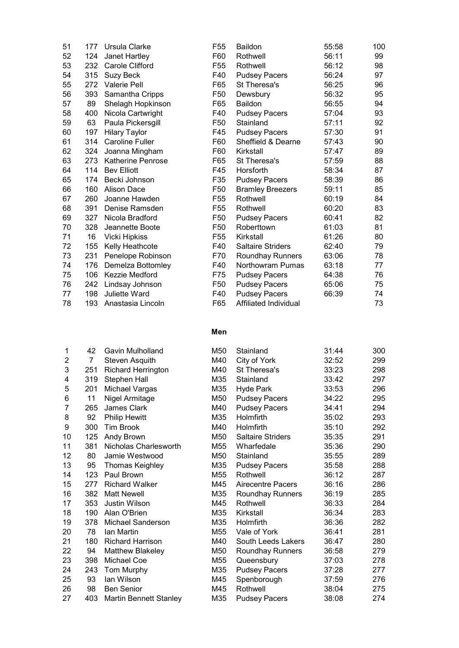| 51 | 177 | Ursula Clarke            | F <sub>55</sub> | <b>Baildon</b>           | 55:58 | 100 |
|----|-----|--------------------------|-----------------|--------------------------|-------|-----|
| 52 | 124 | Janet Hartley            | F60             | Rothwell                 | 56:11 | 99  |
| 53 | 232 | Carole Clifford          | F <sub>55</sub> | Rothwell                 | 56:12 | 98  |
| 54 | 315 | Suzy Beck                | F40             | <b>Pudsey Pacers</b>     | 56:24 | 97  |
| 55 | 272 | <b>Valerie Pell</b>      | F65             | St Theresa's             | 56:25 | 96  |
| 56 | 393 | Samantha Cripps          | F50             | Dewsbury                 | 56:32 | 95  |
| 57 | 89  | Shelagh Hopkinson        | F65             | Baildon                  | 56:55 | 94  |
| 58 | 400 | Nicola Cartwright        | F40             | <b>Pudsey Pacers</b>     | 57:04 | 93  |
| 59 | 63  | Paula Pickersgill        | F <sub>50</sub> | Stainland                | 57:11 | 92  |
| 60 | 197 | <b>Hilary Taylor</b>     | F45             | <b>Pudsey Pacers</b>     | 57:30 | 91  |
| 61 | 314 | <b>Caroline Fuller</b>   | F60             | Sheffield & Dearne       | 57:43 | 90  |
| 62 | 324 | Joanna Mingham           | F60             | Kirkstall                | 57:47 | 89  |
| 63 | 273 | <b>Katherine Penrose</b> | F65             | St Theresa's             | 57:59 | 88  |
| 64 | 114 | <b>Bev Elliott</b>       | F45             | Horsforth                | 58:34 | 87  |
| 65 | 174 | Becki Johnson            | F35             | <b>Pudsey Pacers</b>     | 58:39 | 86  |
| 66 | 160 | Alison Dace              | F <sub>50</sub> | <b>Bramley Breezers</b>  | 59:11 | 85  |
| 67 | 260 | Joanne Hawden            | F <sub>55</sub> | Rothwell                 | 60:19 | 84  |
| 68 | 391 | Denise Ramsden           | F <sub>55</sub> | Rothwell                 | 60:20 | 83  |
| 69 | 327 | Nicola Bradford          | F <sub>50</sub> | <b>Pudsey Pacers</b>     | 60:41 | 82  |
| 70 | 328 | Jeannette Boote          | F <sub>50</sub> | Roberttown               | 61:03 | 81  |
| 71 | 16  | <b>Vicki Hipkiss</b>     | F55             | Kirkstall                | 61:26 | 80  |
| 72 | 155 | Kelly Heathcote          | F40             | <b>Saltaire Striders</b> | 62:40 | 79  |
| 73 | 231 | Penelope Robinson        | F70             | <b>Roundhay Runners</b>  | 63:06 | 78  |
| 74 | 176 | Demelza Bottomley        | F40             | Northowram Pumas         | 63:18 | 77  |
| 75 | 106 | Kezzie Medford           | F75             | <b>Pudsey Pacers</b>     | 64:38 | 76  |
| 76 | 242 | Lindsay Johnson          | F <sub>50</sub> | <b>Pudsey Pacers</b>     | 65:06 | 75  |
| 77 | 198 | <b>Juliette Ward</b>     | F40             | <b>Pudsey Pacers</b>     | 66:39 | 74  |
| 78 | 193 | Anastasia Lincoln        | F65             | Affiliated Individual    |       | 73  |

## Men

| 1  | 42  | Gavin Mulholland              | M50 | Stainland                | 31:44 | 300 |
|----|-----|-------------------------------|-----|--------------------------|-------|-----|
| 2  | 7   | Steven Asquith                | M40 | City of York             | 32:52 | 299 |
| 3  | 251 | <b>Richard Herrington</b>     | M40 | St Theresa's             | 33:23 | 298 |
| 4  | 319 | Stephen Hall                  | M35 | Stainland                | 33:42 | 297 |
| 5  | 201 | Michael Vargas                | M35 | Hyde Park                | 33:53 | 296 |
| 6  | 11  | Nigel Armitage                | M50 | <b>Pudsey Pacers</b>     | 34:22 | 295 |
| 7  | 265 | <b>James Clark</b>            | M40 | <b>Pudsey Pacers</b>     | 34:41 | 294 |
| 8  | 92  | <b>Philip Hewitt</b>          | M35 | Holmfirth                | 35:02 | 293 |
| 9  | 300 | <b>Tim Brook</b>              | M40 | Holmfirth                | 35:10 | 292 |
| 10 | 125 | Andy Brown                    | M50 | <b>Saltaire Striders</b> | 35:35 | 291 |
| 11 | 381 | Nicholas Charlesworth         | M55 | Wharfedale               | 35:36 | 290 |
| 12 | 80  | Jamie Westwood                | M50 | Stainland                | 35:55 | 289 |
| 13 | 95  | Thomas Keighley               | M35 | <b>Pudsey Pacers</b>     | 35:58 | 288 |
| 14 | 123 | Paul Brown                    | M55 | Rothwell                 | 36:12 | 287 |
| 15 | 277 | <b>Richard Walker</b>         | M45 | <b>Airecentre Pacers</b> | 36:16 | 286 |
| 16 | 382 | <b>Matt Newell</b>            | M35 | Roundhay Runners         | 36:19 | 285 |
| 17 | 353 | Justin Wilson                 | M45 | Rothwell                 | 36:33 | 284 |
| 18 | 190 | Alan O'Brien                  | M35 | Kirkstall                | 36:34 | 283 |
| 19 | 378 | Michael Sanderson             | M35 | Holmfirth                | 36:36 | 282 |
| 20 | 78  | Ian Martin                    | M55 | Vale of York             | 36:41 | 281 |
| 21 | 180 | <b>Richard Harrison</b>       | M40 | South Leeds Lakers       | 36:47 | 280 |
| 22 | 94  | Matthew Blakeley              | M50 | Roundhay Runners         | 36:58 | 279 |
| 23 | 398 | <b>Michael Coe</b>            | M55 | Queensbury               | 37:03 | 278 |
| 24 | 243 | Tom Murphy                    | M35 | <b>Pudsey Pacers</b>     | 37:28 | 277 |
| 25 | 93  | lan Wilson                    | M45 | Spenborough              | 37:59 | 276 |
| 26 | 98  | <b>Ben Senior</b>             | M45 | Rothwell                 | 38:04 | 275 |
| 27 | 403 | <b>Martin Bennett Stanley</b> | M35 | <b>Pudsey Pacers</b>     | 38:08 | 274 |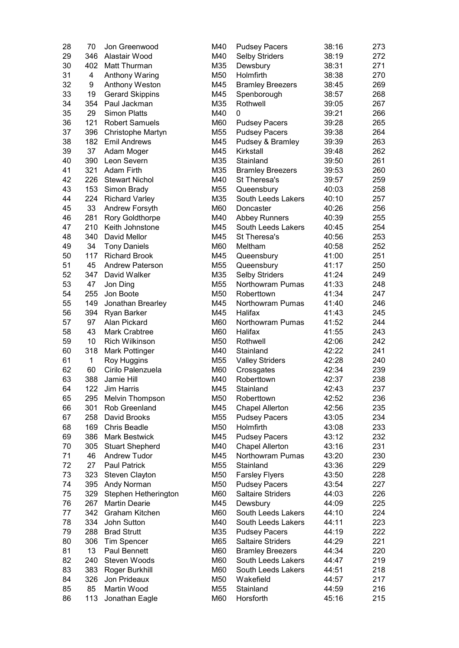| 28 | 70           | Jon Greenwood          | M40 | <b>Pudsey Pacers</b>     | 38:16 | 273 |
|----|--------------|------------------------|-----|--------------------------|-------|-----|
| 29 | 346          | Alastair Wood          | M40 | <b>Selby Striders</b>    | 38:19 | 272 |
| 30 | 402          | Matt Thurman           | M35 | Dewsbury                 | 38:31 | 271 |
| 31 | 4            | Anthony Waring         | M50 | Holmfirth                | 38:38 | 270 |
| 32 | 9            | Anthony Weston         | M45 | <b>Bramley Breezers</b>  | 38:45 | 269 |
| 33 | 19           | <b>Gerard Skippins</b> | M45 | Spenborough              | 38:57 | 268 |
| 34 | 354          | Paul Jackman           | M35 | Rothwell                 | 39:05 | 267 |
| 35 | 29           | <b>Simon Platts</b>    | M40 | 0                        | 39:21 | 266 |
| 36 | 121          | <b>Robert Samuels</b>  | M60 |                          | 39:28 | 265 |
| 37 |              |                        |     | <b>Pudsey Pacers</b>     | 39:38 |     |
|    | 396          | Christophe Martyn      | M55 | <b>Pudsey Pacers</b>     |       | 264 |
| 38 | 182          | <b>Emil Andrews</b>    | M45 | Pudsey & Bramley         | 39:39 | 263 |
| 39 | 37           | Adam Moger             | M45 | Kirkstall                | 39:48 | 262 |
| 40 | 390          | Leon Severn            | M35 | Stainland                | 39:50 | 261 |
| 41 | 321          | <b>Adam Firth</b>      | M35 | <b>Bramley Breezers</b>  | 39:53 | 260 |
| 42 | 226          | <b>Stewart Nichol</b>  | M40 | St Theresa's             | 39:57 | 259 |
| 43 | 153          | Simon Brady            | M55 | Queensbury               | 40:03 | 258 |
| 44 | 224          | <b>Richard Varley</b>  | M35 | South Leeds Lakers       | 40:10 | 257 |
| 45 | 33           | Andrew Forsyth         | M60 | Doncaster                | 40:26 | 256 |
| 46 | 281          | <b>Rory Goldthorpe</b> | M40 | <b>Abbey Runners</b>     | 40:39 | 255 |
| 47 | 210          | Keith Johnstone        | M45 | South Leeds Lakers       | 40:45 | 254 |
| 48 | 340          | David Mellor           | M45 | St Theresa's             | 40:56 | 253 |
| 49 | 34           | <b>Tony Daniels</b>    | M60 | Meltham                  | 40:58 | 252 |
| 50 | 117          | <b>Richard Brook</b>   | M45 | Queensbury               | 41:00 | 251 |
| 51 | 45           | <b>Andrew Paterson</b> | M55 | Queensbury               | 41:17 | 250 |
| 52 | 347          | David Walker           | M35 | <b>Selby Striders</b>    | 41:24 | 249 |
| 53 | 47           | Jon Ding               | M55 | Northowram Pumas         | 41:33 | 248 |
| 54 | 255          | Jon Boote              | M50 | Roberttown               | 41:34 | 247 |
| 55 | 149          | Jonathan Brearley      | M45 | Northowram Pumas         | 41:40 | 246 |
| 56 | 394          | Ryan Barker            | M45 | Halifax                  | 41:43 | 245 |
| 57 | 97           | Alan Pickard           | M60 | Northowram Pumas         | 41:52 | 244 |
|    |              |                        |     |                          |       |     |
| 58 | 43           | <b>Mark Crabtree</b>   | M60 | Halifax                  | 41:55 | 243 |
| 59 | 10           | <b>Rich Wilkinson</b>  | M50 | Rothwell                 | 42:06 | 242 |
| 60 | 318          | Mark Pottinger         | M40 | Stainland                | 42:22 | 241 |
| 61 | $\mathbf{1}$ | Roy Huggins            | M55 | <b>Valley Striders</b>   | 42:28 | 240 |
| 62 | 60           | Cirilo Palenzuela      | M60 | Crossgates               | 42:34 | 239 |
| 63 | 388          | Jamie Hill             | M40 | Roberttown               | 42:37 | 238 |
| 64 | 122          | <b>Jim Harris</b>      | M45 | Stainland                | 42:43 | 237 |
| 65 | 295          | Melvin Thompson        | M50 | Roberttown               | 42:52 | 236 |
| 66 | 301          | Rob Greenland          | M45 | <b>Chapel Allerton</b>   | 42:56 | 235 |
| 67 | 258          | David Brooks           | M55 | <b>Pudsey Pacers</b>     | 43:05 | 234 |
| 68 | 169          | <b>Chris Beadle</b>    | M50 | Holmfirth                | 43:08 | 233 |
| 69 | 386          | <b>Mark Bestwick</b>   | M45 | <b>Pudsey Pacers</b>     | 43:12 | 232 |
| 70 | 305          | <b>Stuart Shepherd</b> | M40 | <b>Chapel Allerton</b>   | 43:16 | 231 |
| 71 | 46           | <b>Andrew Tudor</b>    | M45 | Northowram Pumas         | 43:20 | 230 |
| 72 | 27           | <b>Paul Patrick</b>    | M55 | Stainland                | 43:36 | 229 |
| 73 | 323          | Steven Clayton         | M50 | <b>Farsley Flyers</b>    | 43:50 | 228 |
| 74 | 395          | Andy Norman            | M50 | <b>Pudsey Pacers</b>     | 43:54 | 227 |
| 75 | 329          | Stephen Hetherington   | M60 | <b>Saltaire Striders</b> | 44:03 | 226 |
| 76 | 267          | <b>Martin Dearie</b>   | M45 | Dewsbury                 | 44:09 | 225 |
| 77 | 342          | Graham Kitchen         | M60 | South Leeds Lakers       | 44:10 | 224 |
|    |              |                        |     |                          |       |     |
| 78 | 334          | John Sutton            | M40 | South Leeds Lakers       | 44:11 | 223 |
| 79 | 288          | <b>Brad Strutt</b>     | M35 | <b>Pudsey Pacers</b>     | 44:19 | 222 |
| 80 | 306          | Tim Spencer            | M65 | <b>Saltaire Striders</b> | 44:29 | 221 |
| 81 | 13           | Paul Bennett           | M60 | <b>Bramley Breezers</b>  | 44:34 | 220 |
| 82 | 240          | Steven Woods           | M60 | South Leeds Lakers       | 44:47 | 219 |
| 83 | 383          | Roger Burkhill         | M60 | South Leeds Lakers       | 44:51 | 218 |
| 84 | 326          | Jon Prideaux           | M50 | Wakefield                | 44:57 | 217 |
| 85 | 85           | Martin Wood            | M55 | Stainland                | 44:59 | 216 |
| 86 | 113          | Jonathan Eagle         | M60 | Horsforth                | 45:16 | 215 |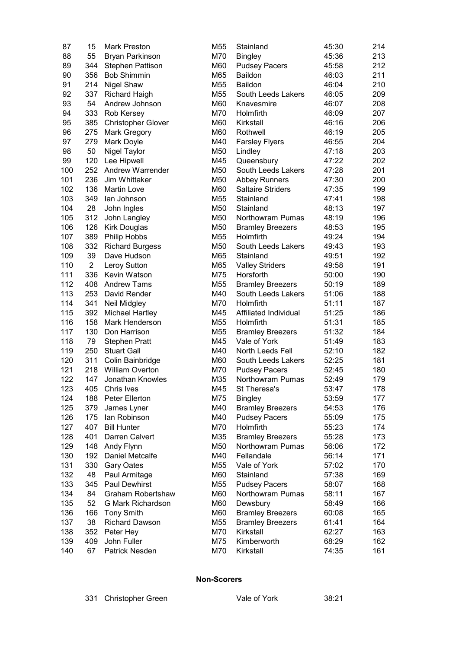| 87  | 15             | <b>Mark Preston</b>       | M55 | Stainland                | 45:30 | 214 |
|-----|----------------|---------------------------|-----|--------------------------|-------|-----|
| 88  | 55             | <b>Bryan Parkinson</b>    | M70 | <b>Bingley</b>           | 45:36 | 213 |
| 89  | 344            | <b>Stephen Pattison</b>   | M60 | <b>Pudsey Pacers</b>     | 45:58 | 212 |
| 90  | 356            | <b>Bob Shimmin</b>        | M65 | <b>Baildon</b><br>46:03  |       | 211 |
| 91  | 214            | <b>Nigel Shaw</b>         | M55 | <b>Baildon</b><br>46:04  |       | 210 |
| 92  | 337            | <b>Richard Haigh</b>      | M55 | South Leeds Lakers       | 46:05 | 209 |
| 93  | 54             | Andrew Johnson            | M60 | Knavesmire               | 46:07 | 208 |
| 94  | 333            | Rob Kersey                | M70 | Holmfirth                | 46:09 | 207 |
| 95  | 385            | <b>Christopher Glover</b> | M60 | Kirkstall                | 46:16 | 206 |
| 96  | 275            | Mark Gregory              | M60 | Rothwell                 | 46:19 | 205 |
| 97  | 279            | Mark Doyle                | M40 | <b>Farsley Flyers</b>    | 46:55 | 204 |
| 98  | 50             | Nigel Taylor              | M50 | Lindley                  | 47:18 | 203 |
| 99  | 120            | Lee Hipwell               | M45 | Queensbury               | 47:22 | 202 |
| 100 | 252            | <b>Andrew Warrender</b>   | M50 | South Leeds Lakers       | 47:28 | 201 |
| 101 | 236            | Jim Whittaker             | M50 | <b>Abbey Runners</b>     | 47:30 | 200 |
| 102 | 136            | <b>Martin Love</b>        | M60 | <b>Saltaire Striders</b> | 47:35 | 199 |
| 103 | 349            | lan Johnson               | M55 | Stainland                | 47:41 | 198 |
| 104 | 28             | John Ingles               | M50 | Stainland                | 48:13 | 197 |
| 105 | 312            | John Langley              | M50 | Northowram Pumas         | 48:19 | 196 |
| 106 | 126            | <b>Kirk Douglas</b>       | M50 | <b>Bramley Breezers</b>  | 48:53 | 195 |
| 107 | 389            | Philip Hobbs              | M55 | Holmfirth                | 49:24 | 194 |
| 108 | 332            |                           | M50 | South Leeds Lakers       | 49:43 | 193 |
|     | 39             | <b>Richard Burgess</b>    |     |                          |       |     |
| 109 | $\overline{2}$ | Dave Hudson               | M65 | Stainland                | 49:51 | 192 |
| 110 |                | Leroy Sutton              | M65 | <b>Valley Striders</b>   | 49:58 | 191 |
| 111 | 336            | Kevin Watson              | M75 | Horsforth                | 50:00 | 190 |
| 112 | 408            | <b>Andrew Tams</b>        | M55 | <b>Bramley Breezers</b>  | 50:19 | 189 |
| 113 | 253            | David Render              | M40 | South Leeds Lakers       | 51:06 | 188 |
| 114 | 341            | Neil Midgley              | M70 | Holmfirth                | 51:11 | 187 |
| 115 | 392            | <b>Michael Hartley</b>    | M45 | Affiliated Individual    | 51:25 | 186 |
| 116 | 158            | Mark Henderson            | M55 | Holmfirth                | 51:31 | 185 |
| 117 | 130            | Don Harrison              | M55 | <b>Bramley Breezers</b>  | 51:32 | 184 |
| 118 | 79             | <b>Stephen Pratt</b>      | M45 | Vale of York             | 51:49 | 183 |
| 119 | 250            | <b>Stuart Gall</b>        | M40 | North Leeds Fell         | 52:10 | 182 |
| 120 | 311            | Colin Bainbridge          | M60 | South Leeds Lakers       | 52:25 | 181 |
| 121 | 218            | <b>William Overton</b>    | M70 | <b>Pudsey Pacers</b>     | 52:45 | 180 |
| 122 | 147            | Jonathan Knowles          | M35 | Northowram Pumas         | 52:49 | 179 |
| 123 | 405            | Chris Ives                | M45 | St Theresa's             | 53:47 | 178 |
| 124 | 188            | Peter Ellerton            | M75 | <b>Bingley</b>           | 53:59 | 177 |
| 125 | 379            | James Lyner               | M40 | <b>Bramley Breezers</b>  | 54:53 | 176 |
| 126 | 175            | lan Robinson              | M40 | <b>Pudsey Pacers</b>     | 55:09 | 175 |
| 127 | 407            | <b>Bill Hunter</b>        | M70 | Holmfirth                | 55:23 | 174 |
| 128 | 401            | Darren Calvert            | M35 | <b>Bramley Breezers</b>  | 55:28 | 173 |
| 129 | 148            | Andy Flynn                | M50 | Northowram Pumas         | 56:06 | 172 |
| 130 | 192            | Daniel Metcalfe           | M40 | Fellandale               | 56:14 | 171 |
| 131 | 330            | <b>Gary Oates</b>         | M55 | Vale of York             | 57:02 | 170 |
| 132 | 48             | Paul Armitage             | M60 | Stainland                | 57:38 | 169 |
| 133 | 345            | <b>Paul Dewhirst</b>      | M55 | <b>Pudsey Pacers</b>     | 58:07 | 168 |
| 134 | 84             | <b>Graham Robertshaw</b>  | M60 | Northowram Pumas         | 58:11 | 167 |
| 135 | 52             | <b>G Mark Richardson</b>  | M60 | Dewsbury                 | 58:49 | 166 |
| 136 | 166            | <b>Tony Smith</b>         | M60 | <b>Bramley Breezers</b>  | 60:08 | 165 |
| 137 | 38             | <b>Richard Dawson</b>     | M55 | <b>Bramley Breezers</b>  | 61:41 | 164 |
| 138 | 352            | Peter Hey                 | M70 | Kirkstall                | 62:27 | 163 |
| 139 | 409            | John Fuller               | M75 | Kimberworth              | 68:29 | 162 |
| 140 | 67             | Patrick Nesden            | M70 | Kirkstall                | 74:35 | 161 |

### Non-Scorers